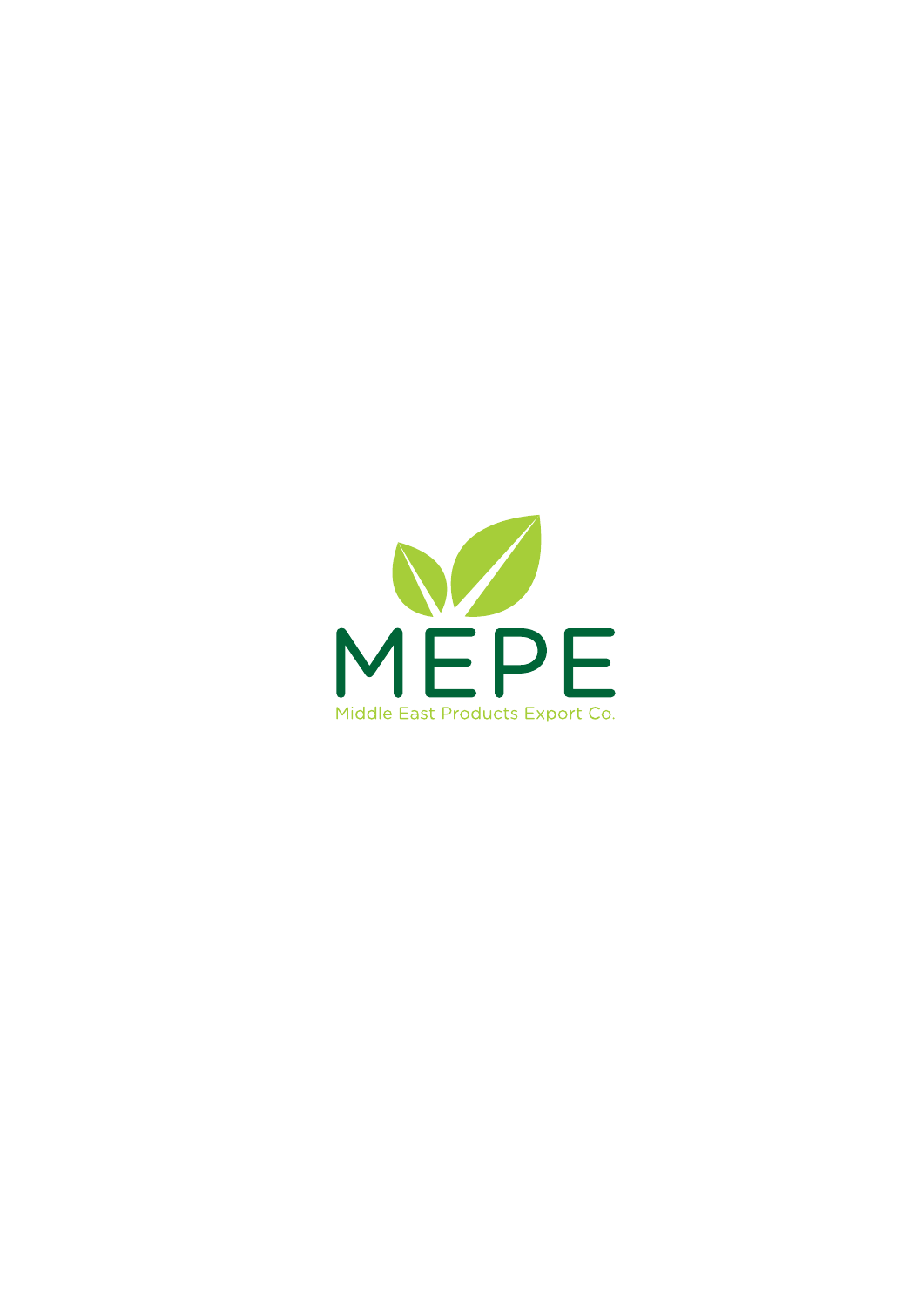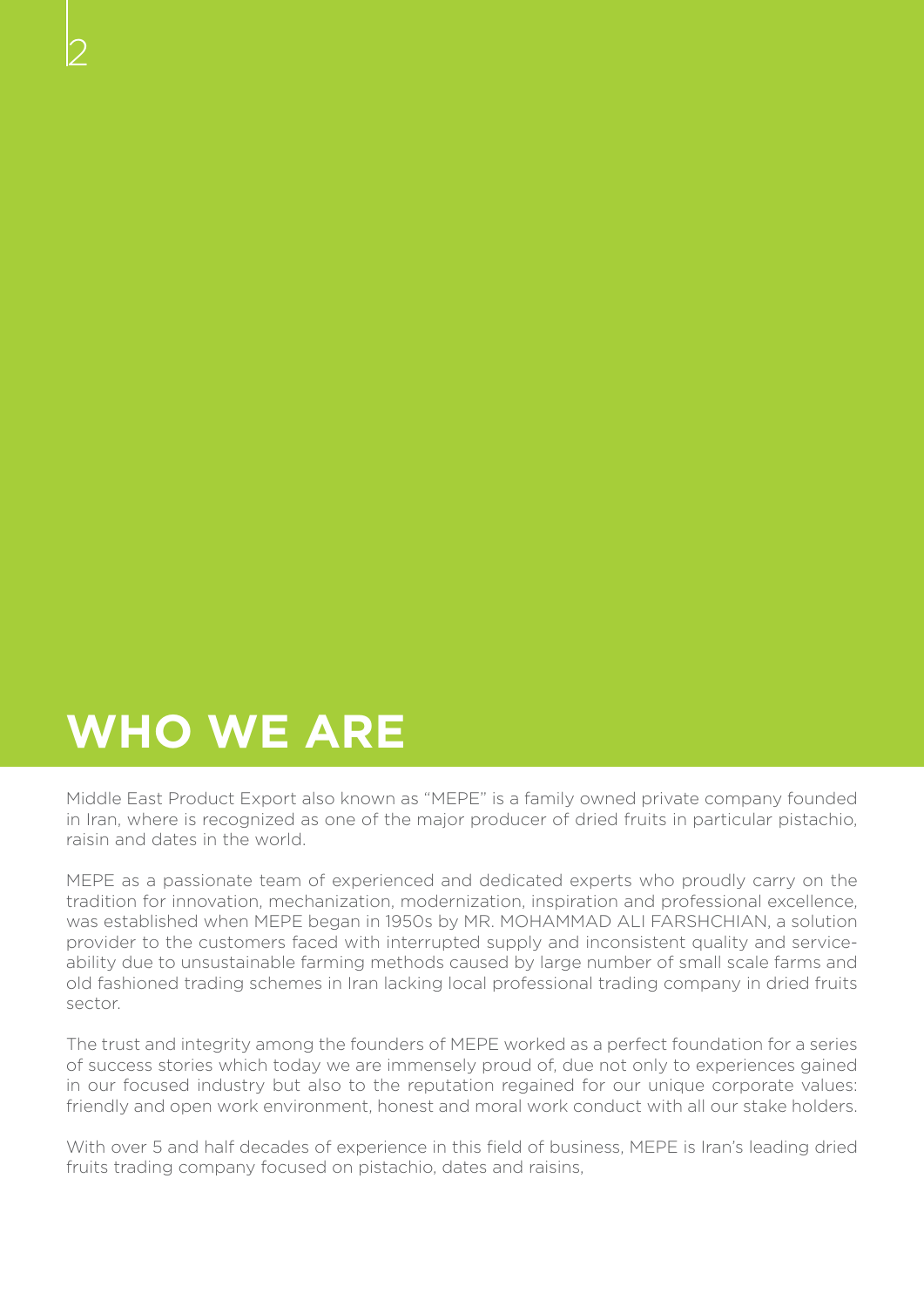# **WHO WE ARE**

Middle East Product Export also known as "MEPE" is a family owned private company founded in Iran, where is recognized as one of the major producer of dried fruits in particular pistachio, raisin and dates in the world.

MEPE as a passionate team of experienced and dedicated experts who proudly carry on the tradition for innovation, mechanization, modernization, inspiration and professional excellence, was established when MEPE began in 1950s by MR. MOHAMMAD ALI FARSHCHIAN, a solution provider to the customers faced with interrupted supply and inconsistent quality and serviceability due to unsustainable farming methods caused by large number of small scale farms and old fashioned trading schemes in Iran lacking local professional trading company in dried fruits sector.

The trust and integrity among the founders of MEPE worked as a perfect foundation for a series of success stories which today we are immensely proud of, due not only to experiences gained in our focused industry but also to the reputation regained for our unique corporate values: friendly and open work environment, honest and moral work conduct with all our stake holders.

With over 5 and half decades of experience in this field of business, MEPE is Iran's leading dried fruits trading company focused on pistachio, dates and raisins,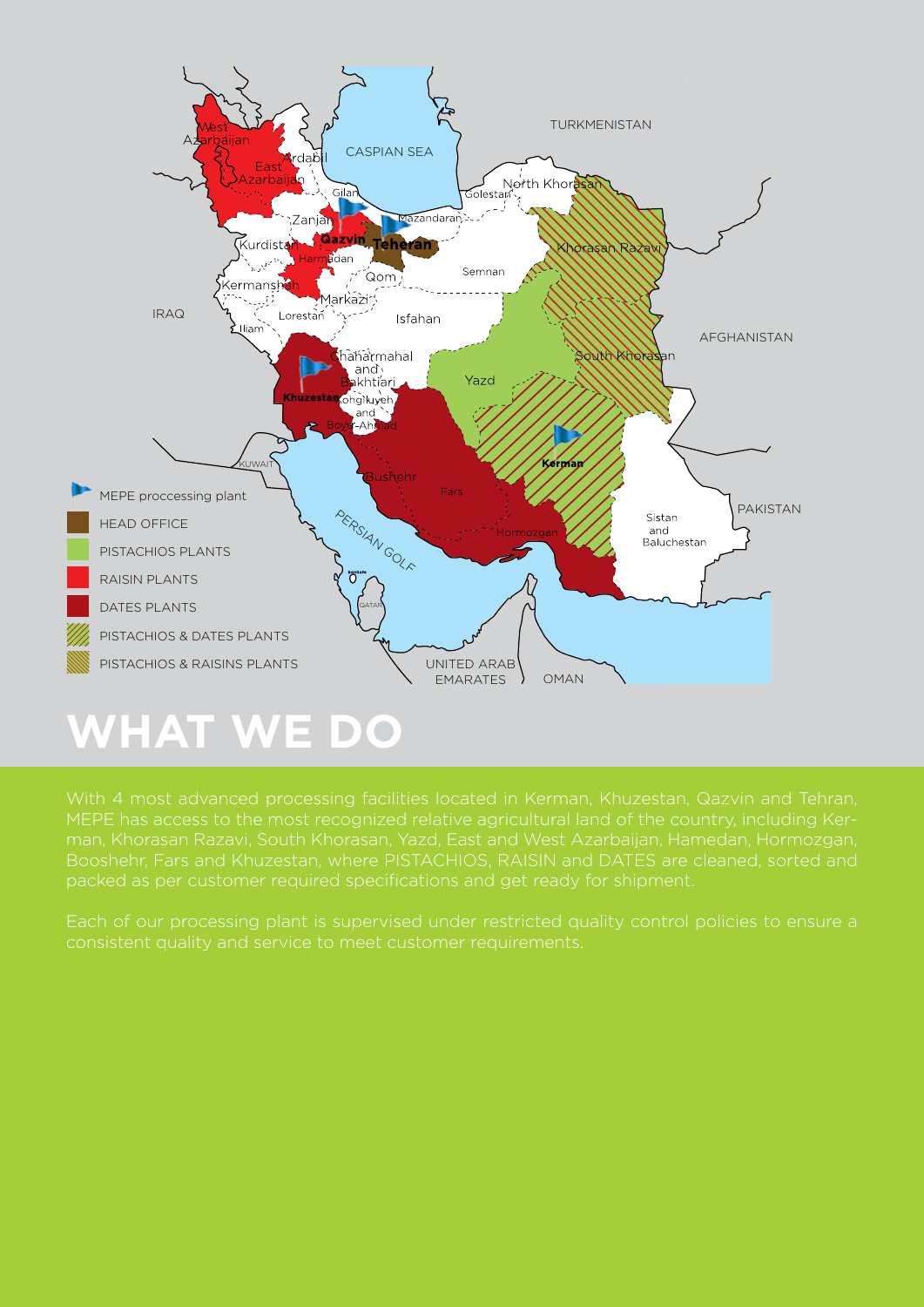

consistent quality and service to meet customer requirements.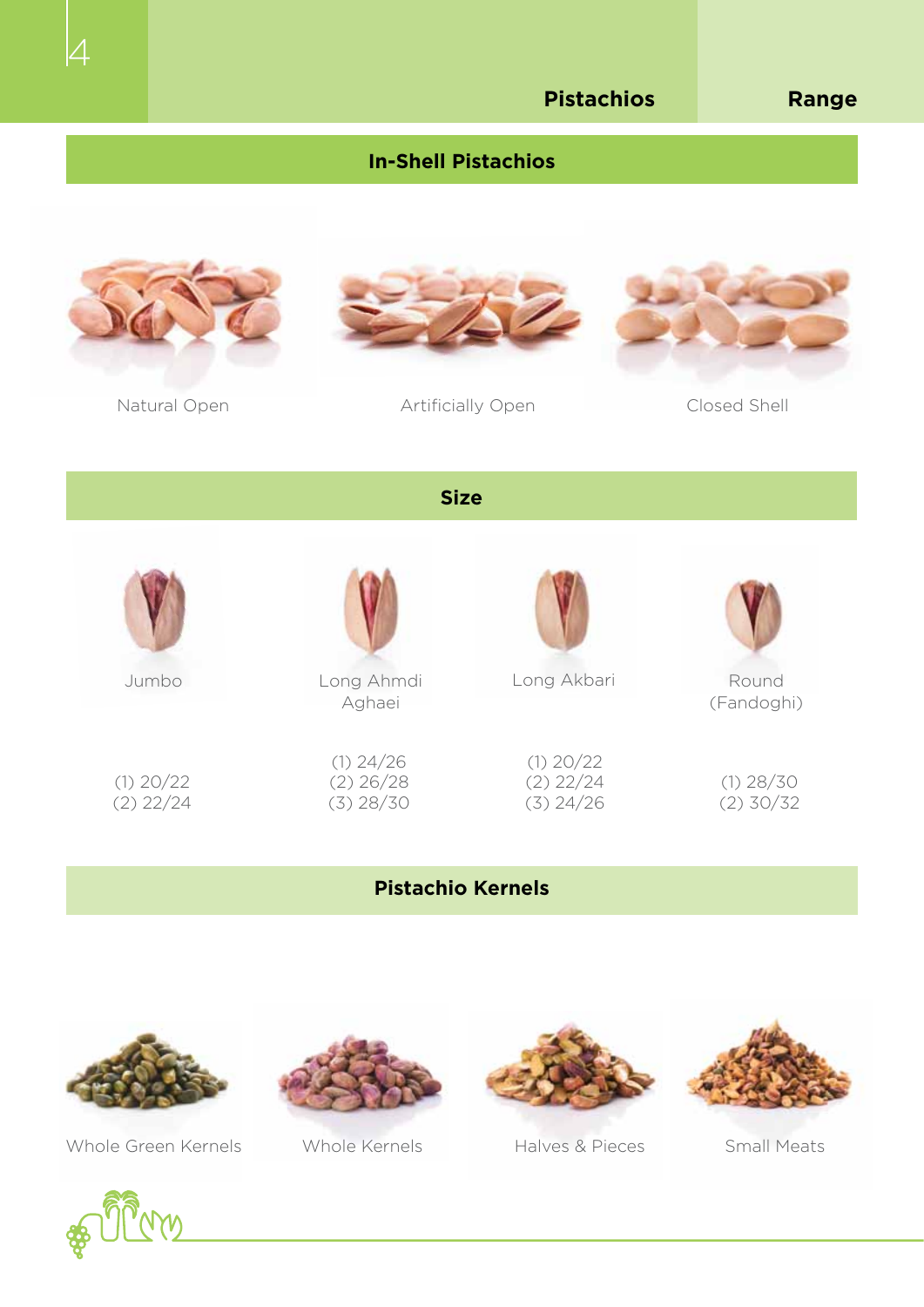4

# **Pistachios**

**Range**

### **In-Shell Pistachios**

| Natural Open             | Artificially Open                                 |                                       | Closed Shell                           |
|--------------------------|---------------------------------------------------|---------------------------------------|----------------------------------------|
|                          | <b>Size</b>                                       |                                       |                                        |
| Jumbo                    | Long Ahmdi                                        | Long Akbari                           | Round                                  |
| (1) 20/22<br>$(2)$ 22/24 | Aghaei<br>$(1)$ 24/26<br>$(2)$ 26/28<br>(3) 28/30 | (1) 20/22<br>$(2)$ 22/24<br>(3) 24/26 | (Fandoghi)<br>(1) 28/30<br>$(2)$ 30/32 |

## **Pistachio Kernels**



Whole Green Kernels







Whole Kernels **Halves & Pieces** Small Meats

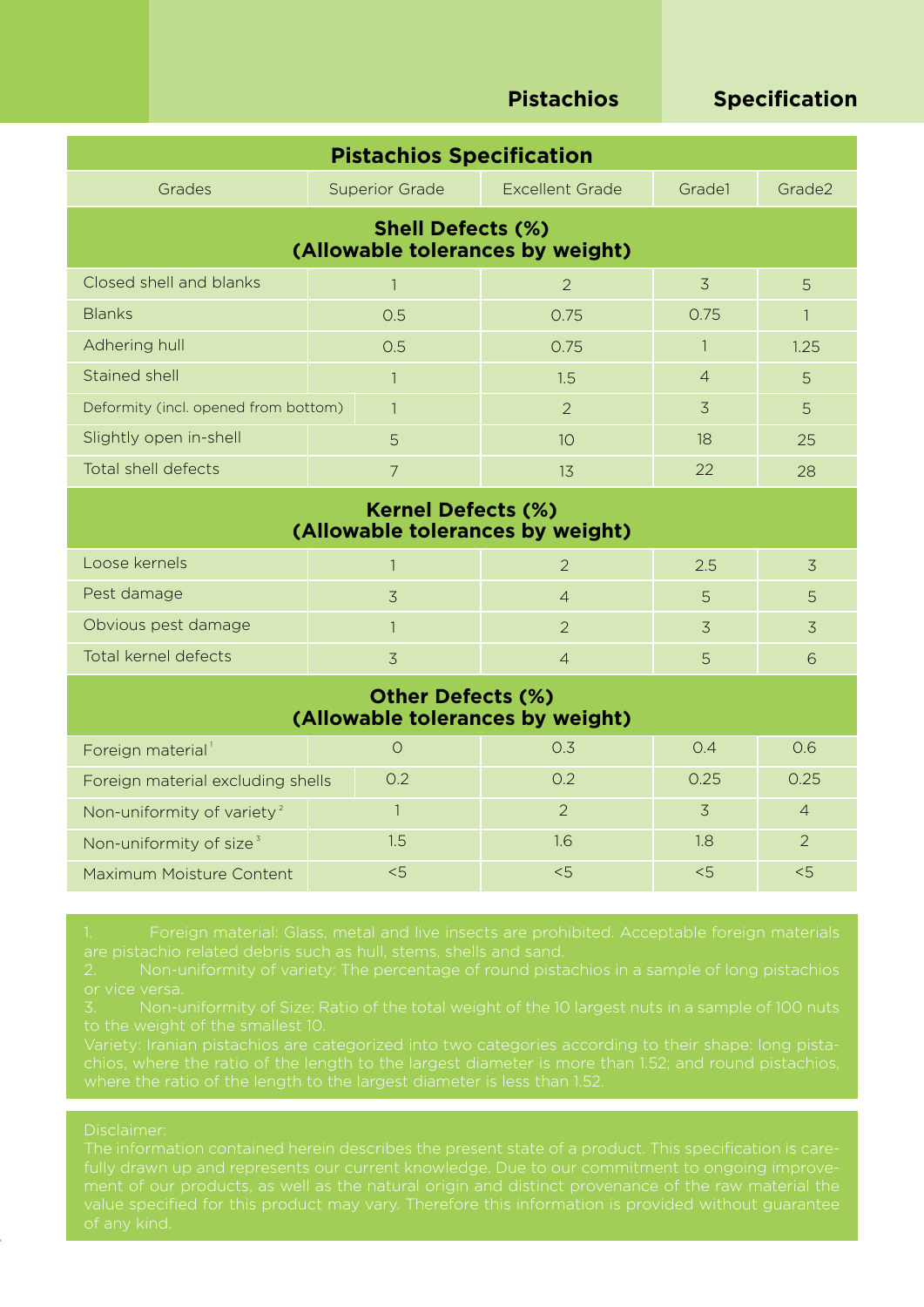**Pistachios Specification** 

| <b>Pistachios Specification</b>                              |                       |                 |                |        |  |  |
|--------------------------------------------------------------|-----------------------|-----------------|----------------|--------|--|--|
| Grades                                                       | <b>Superior Grade</b> | Excellent Grade | Grade1         | Grade2 |  |  |
| <b>Shell Defects (%)</b><br>(Allowable tolerances by weight) |                       |                 |                |        |  |  |
| Closed shell and blanks                                      |                       | 2               | 3              | 5      |  |  |
| <b>Blanks</b>                                                | 0.5                   | 0.75            | 0.75           |        |  |  |
| Adhering hull                                                | 0.5                   | 0.75            |                | 1.25   |  |  |
| Stained shell                                                |                       | 1.5             | $\overline{4}$ | 5      |  |  |
| Deformity (incl. opened from bottom)                         |                       | 2               | $\overline{3}$ | 5      |  |  |
| Slightly open in-shell                                       | 5                     | 10 <sup>°</sup> | 18             | 25     |  |  |
| Total shell defects<br>7                                     |                       | 13              | 22             | 28     |  |  |

#### **Kernel Defects (%) (Allowable tolerances by weight)**

| Loose kernels        |  | 2.5 |  |
|----------------------|--|-----|--|
| Pest damage          |  |     |  |
| Obvious pest damage  |  |     |  |
| Total kernel defects |  |     |  |

### **Other Defects (%) (Allowable tolerances by weight)**

|                                   |     | O.3      | 0.4   | 0.6  |
|-----------------------------------|-----|----------|-------|------|
| Foreign material excluding shells |     | O.2      | 0.25  | 0.25 |
|                                   |     |          |       |      |
|                                   | 1.5 | 1.6      | 1.8   |      |
|                                   | くら  | $\leq 5$ | $<$ 5 |      |
|                                   |     | O.2      |       |      |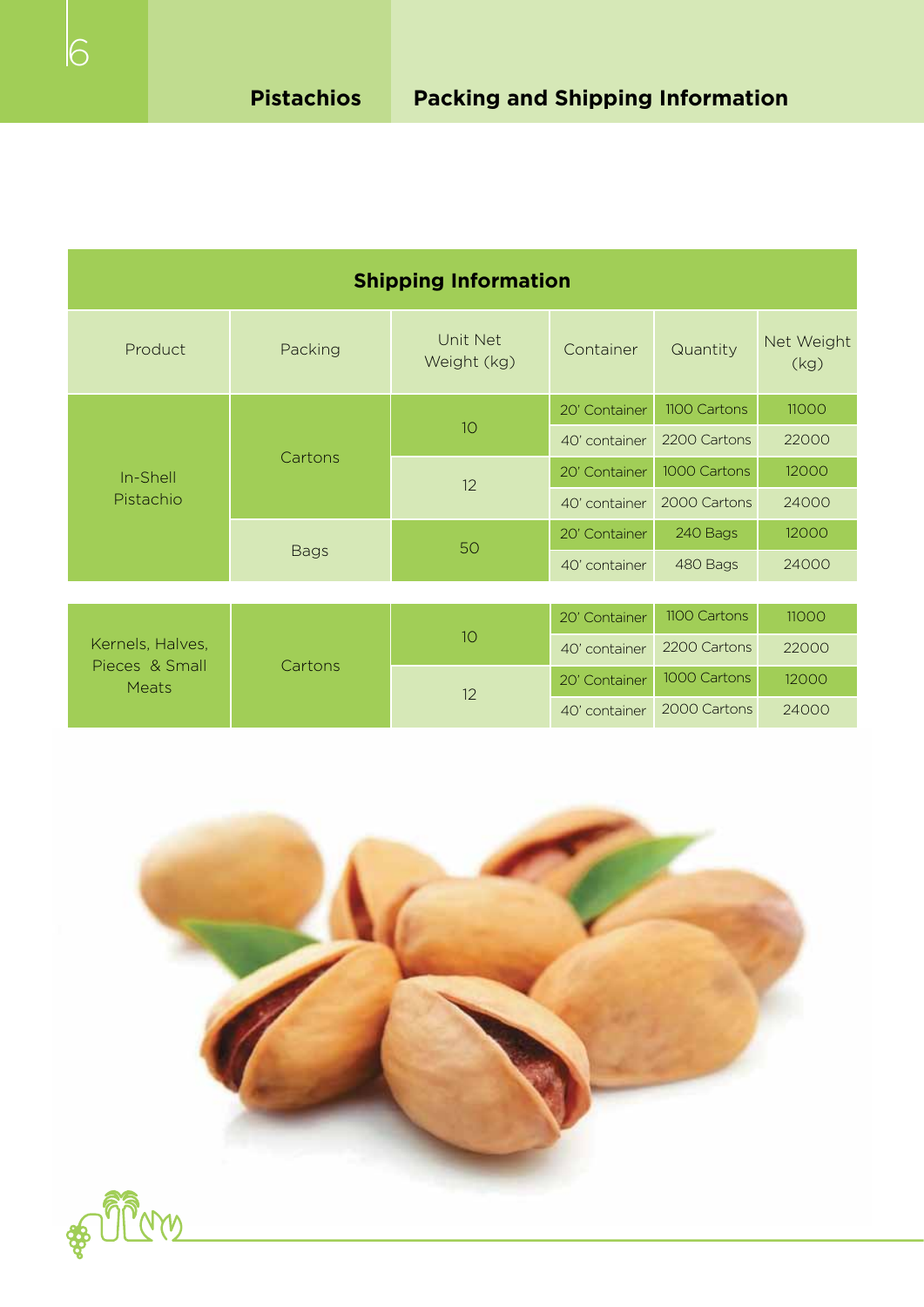| <b>Shipping Information</b>                        |             |                         |               |              |                    |  |
|----------------------------------------------------|-------------|-------------------------|---------------|--------------|--------------------|--|
| Product                                            | Packing     | Unit Net<br>Weight (kg) | Container     | Quantity     | Net Weight<br>(kg) |  |
|                                                    |             |                         | 20' Container | 1100 Cartons | 11000              |  |
|                                                    | Cartons     | 10                      | 40' container | 2200 Cartons | 22000              |  |
| In-Shell                                           |             | 12                      | 20' Container | 1000 Cartons | 12000              |  |
| Pistachio                                          |             |                         | 40' container | 2000 Cartons | 24000              |  |
|                                                    |             | 50                      | 20' Container | 240 Bags     | 12000              |  |
|                                                    | <b>Bags</b> |                         | 40' container | 480 Bags     | 24000              |  |
|                                                    |             |                         |               |              |                    |  |
|                                                    |             |                         | 20' Container | 1100 Cartons | 11000              |  |
| Kernels, Halves,<br>Pieces & Small<br><b>Meats</b> | Cartons     | 10                      | 40' container | 2200 Cartons | 22000              |  |
|                                                    |             | 12                      | 20' Container | 1000 Cartons | 12000              |  |
|                                                    |             |                         | 40' container | 2000 Cartons | 24000              |  |



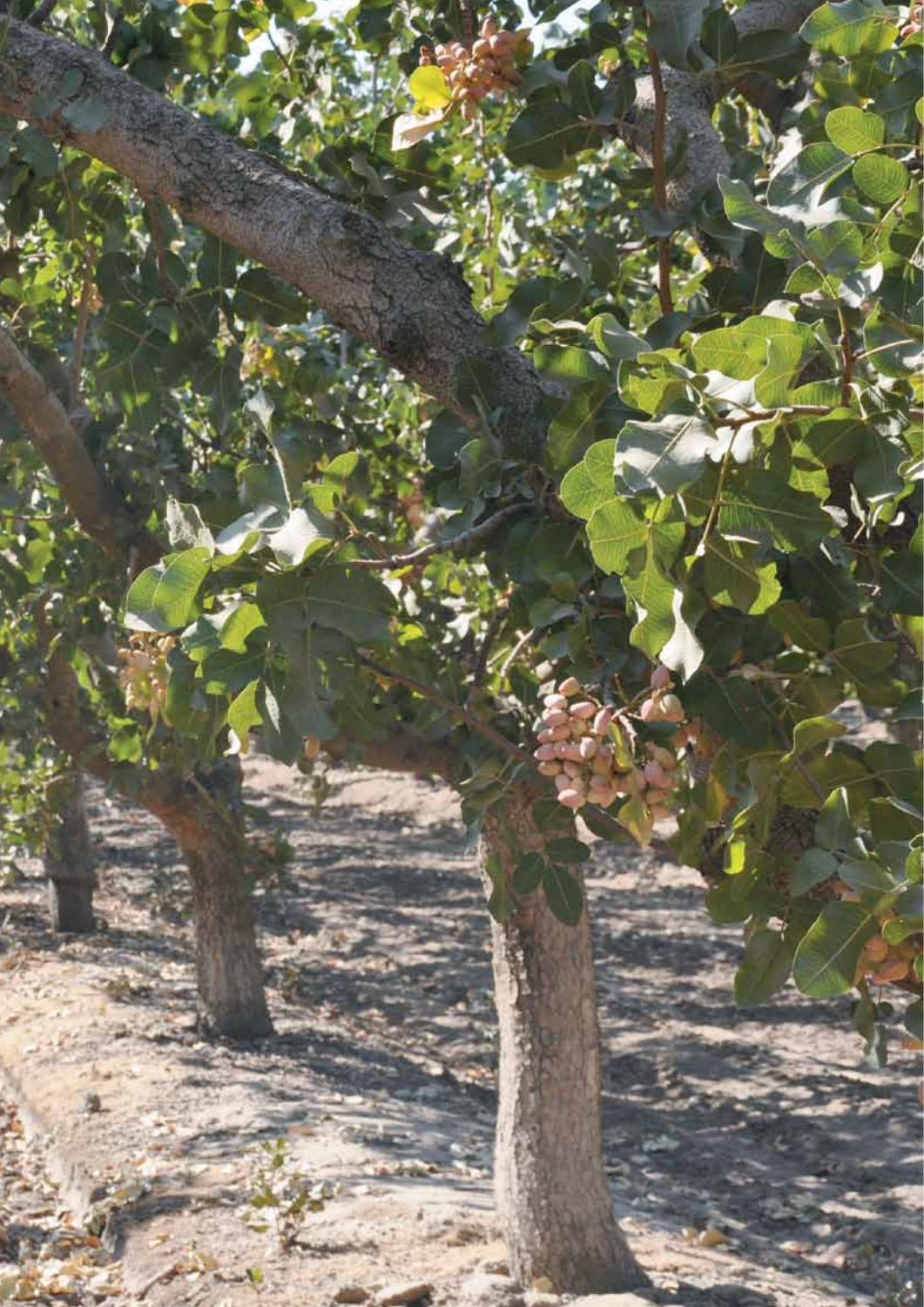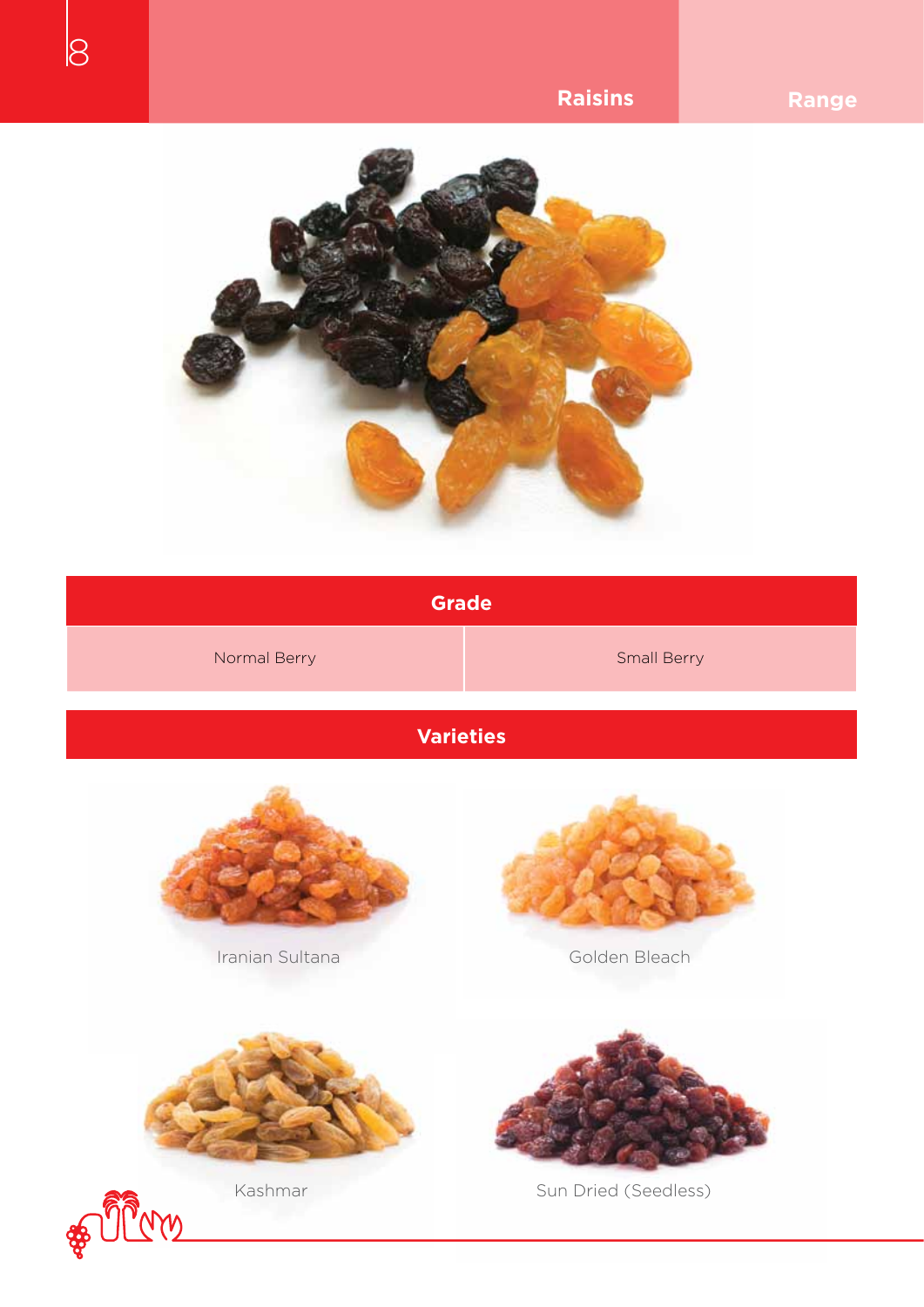# **Raisins Range**



| <b>Grade</b> |                    |  |  |  |  |
|--------------|--------------------|--|--|--|--|
| Normal Berry | <b>Small Berry</b> |  |  |  |  |
|              |                    |  |  |  |  |





Iranian Sultana **Golden Bleach** 





**Entry** 



Kashmar Sun Dried (Seedless)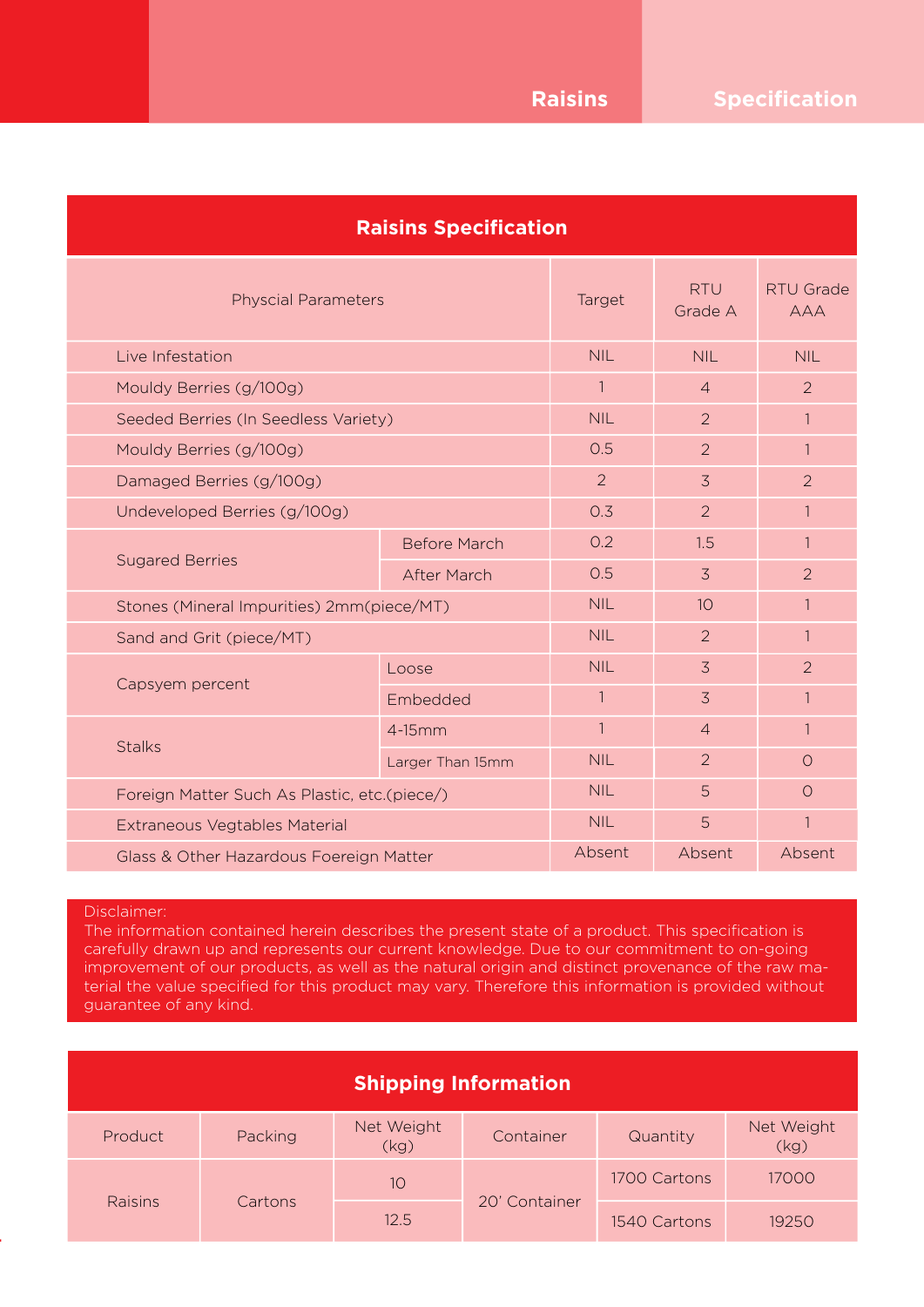| <b>Raisins Specification</b>                 |                     |                          |                       |                                |  |  |
|----------------------------------------------|---------------------|--------------------------|-----------------------|--------------------------------|--|--|
| <b>Physcial Parameters</b>                   |                     | Target                   | <b>RTU</b><br>Grade A | <b>RTU Grade</b><br><b>AAA</b> |  |  |
| Live Infestation                             |                     | <b>NIL</b>               | <b>NIL</b>            | <b>NIL</b>                     |  |  |
| Mouldy Berries (g/100g)                      |                     | $\overline{\phantom{a}}$ | $\overline{4}$        | $\overline{2}$                 |  |  |
| Seeded Berries (In Seedless Variety)         |                     | <b>NIL</b>               | $\overline{2}$        | 1                              |  |  |
| Mouldy Berries (g/100g)                      |                     | 0.5                      | 2                     | 1                              |  |  |
| Damaged Berries (g/100g)                     |                     | $\overline{2}$           | $\overline{3}$        | 2                              |  |  |
| Undeveloped Berries (g/100g)                 |                     | 0.3                      | $\overline{2}$        | 1                              |  |  |
|                                              | <b>Before March</b> | O.2                      | 1.5                   | 1                              |  |  |
| <b>Sugared Berries</b>                       | <b>After March</b>  | 0.5                      | $\overline{3}$        | $\overline{2}$                 |  |  |
| Stones (Mineral Impurities) 2mm(piece/MT)    |                     | <b>NIL</b>               | 10                    | 1                              |  |  |
| Sand and Grit (piece/MT)                     |                     | <b>NIL</b>               | $\overline{2}$        | $\mathbf{1}$                   |  |  |
|                                              | Loose               | <b>NIL</b>               | $\overline{3}$        | $\overline{2}$                 |  |  |
| Capsyem percent                              | Embedded            | $\overline{\phantom{a}}$ | $\overline{3}$        | $\mathbf{1}$                   |  |  |
|                                              | 4-15mm              | $\mathbf{1}$             | $\overline{4}$        | 1                              |  |  |
| <b>Stalks</b>                                | Larger Than 15mm    | <b>NIL</b>               | $\overline{2}$        | $\Omega$                       |  |  |
| Foreign Matter Such As Plastic, etc.(piece/) | <b>NIL</b>          | 5                        | $\Omega$              |                                |  |  |
| Extraneous Vegtables Material                |                     | <b>NIL</b>               | 5                     | 1                              |  |  |
| Glass & Other Hazardous Foereign Matter      |                     | Absent                   | Absent                | Absent                         |  |  |

#### Disclaimer:

The information contained herein describes the present state of a product. This specification is carefully drawn up and represents our current knowledge. Due to our commitment to on-going improvement of our products, as well as the natural origin and distinct provenance of the raw material the value specified for this product may vary. Therefore this information is provided without guarantee of any kind.

| <b>Shipping Information</b> |         |                    |               |              |                    |  |  |
|-----------------------------|---------|--------------------|---------------|--------------|--------------------|--|--|
| Product                     | Packing | Net Weight<br>(kg) | Container     | Quantity     | Net Weight<br>(kg) |  |  |
|                             |         |                    |               | 1700 Cartons | 17000              |  |  |
| Raisins                     | Cartons | 12.5               | 20' Container | 1540 Cartons | 19250              |  |  |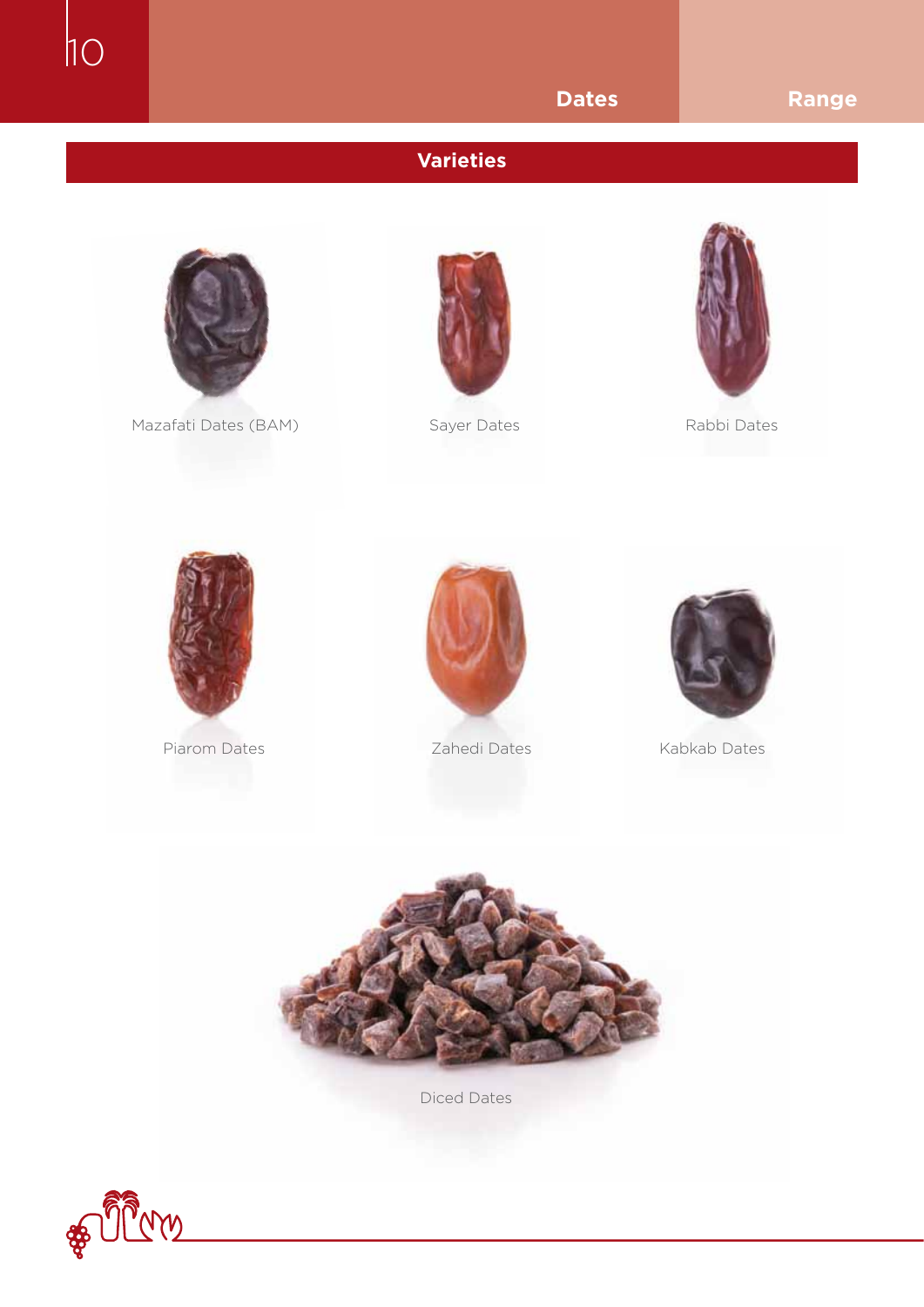## **Dates Range**

### **Varieties**



Mazafati Dates (BAM) Sayer Dates Rabbi Dates Rabbi Dates







Piarom Dates





Zahedi Dates Kabkab Dates



Diced Dates

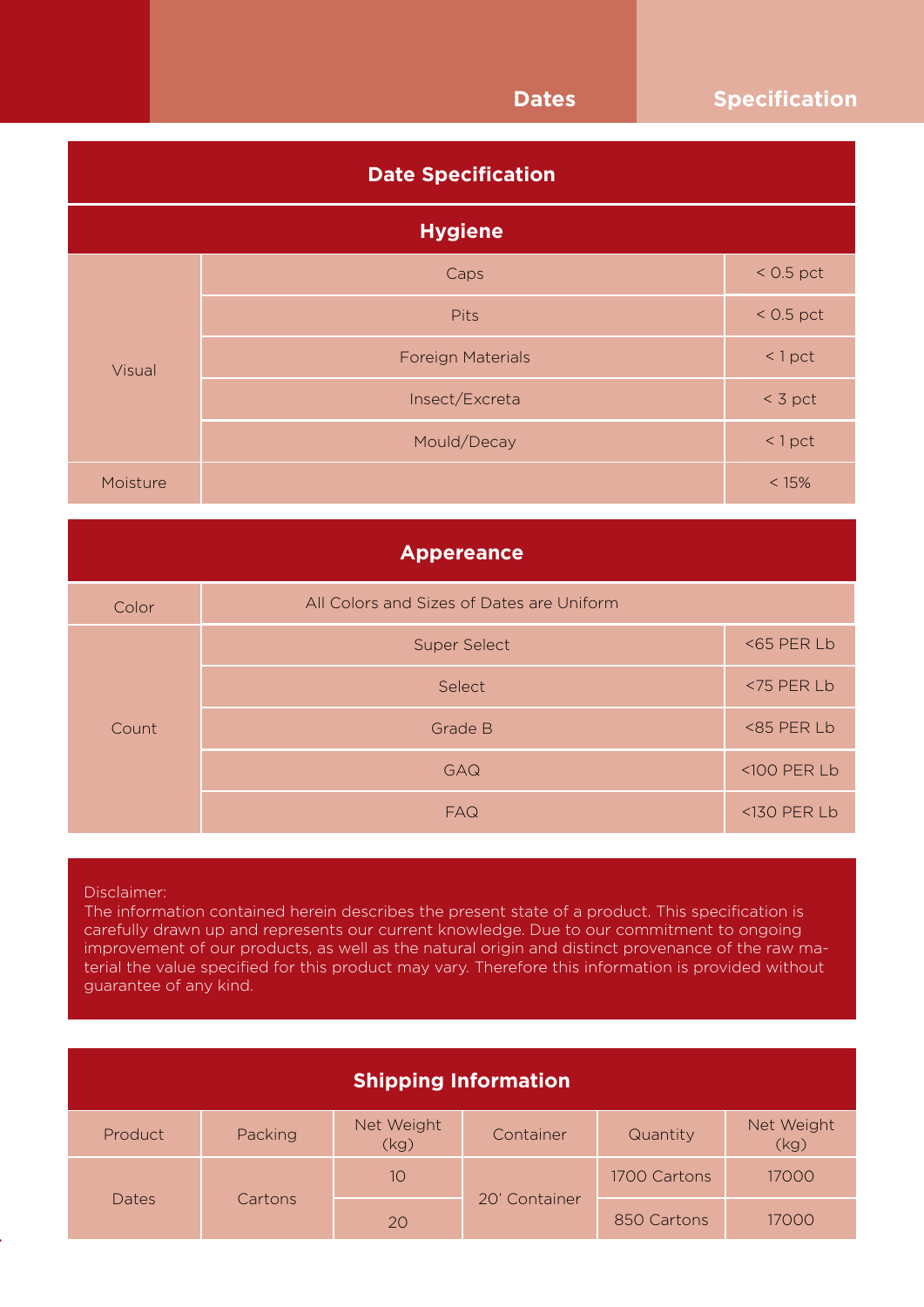**Dates**

## **Specification**

| <b>Date Specification</b> |                          |             |  |  |  |  |  |
|---------------------------|--------------------------|-------------|--|--|--|--|--|
|                           | <b>Hygiene</b>           |             |  |  |  |  |  |
|                           | Caps                     | $<$ 0.5 pct |  |  |  |  |  |
| Visual                    | <b>Pits</b>              | $<$ 0.5 pct |  |  |  |  |  |
|                           | <b>Foreign Materials</b> | $< 1$ pct   |  |  |  |  |  |
|                           | Insect/Excreta           | $<$ 3 pct   |  |  |  |  |  |
|                           | Mould/Decay              | $< 1$ pct   |  |  |  |  |  |
| Moisture                  |                          | < 15%       |  |  |  |  |  |

#### **Appereance**

| Color | All Colors and Sizes of Dates are Uniform |                |  |  |  |
|-------|-------------------------------------------|----------------|--|--|--|
| Count | <b>Super Select</b>                       | <65 PER Lb     |  |  |  |
|       | Select                                    | <75 PER Lb     |  |  |  |
|       | Grade B                                   | <85 PER Lb     |  |  |  |
|       | <b>GAQ</b>                                | <100 PER Lb    |  |  |  |
|       | <b>FAQ</b>                                | $<$ 130 PER Lb |  |  |  |

#### Disclaimer:

The information contained herein describes the present state of a product. This specification is carefully drawn up and represents our current knowledge. Due to our commitment to ongoing improvement of our products, as well as the natural origin and distinct provenance of the raw material the value specified for this product may vary. Therefore this information is provided without guarantee of any kind.

| <b>Shipping Information</b> |         |                    |               |              |                    |  |
|-----------------------------|---------|--------------------|---------------|--------------|--------------------|--|
| <b>Product</b>              | Packing | Net Weight<br>(kg) | Container     | Quantity     | Net Weight<br>(kg) |  |
|                             |         | 10                 |               | 1700 Cartons | 17000              |  |
| Dates                       | Cartons | 20                 | 20' Container | 850 Cartons  | 17000              |  |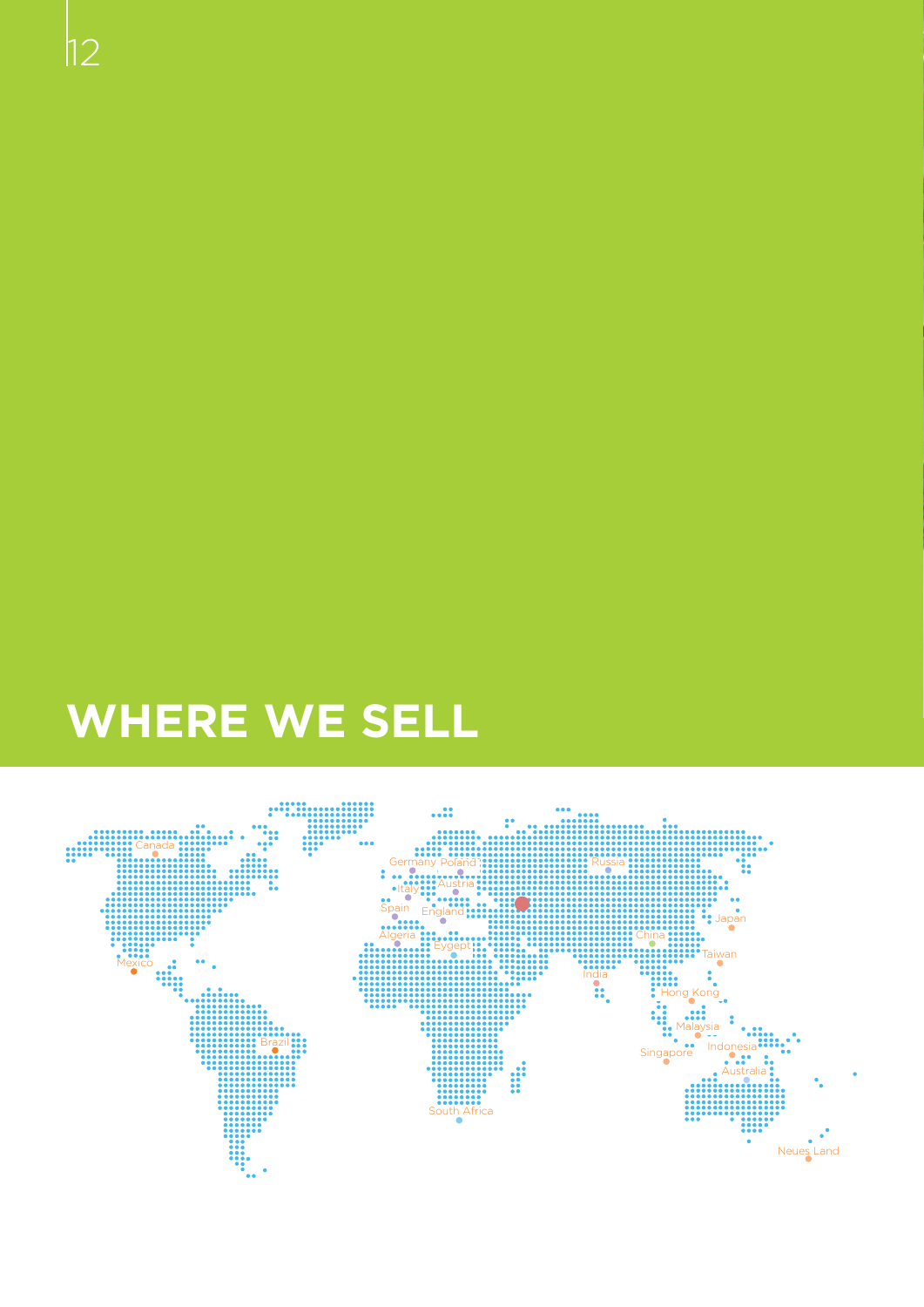# **WHERE WE SELL**

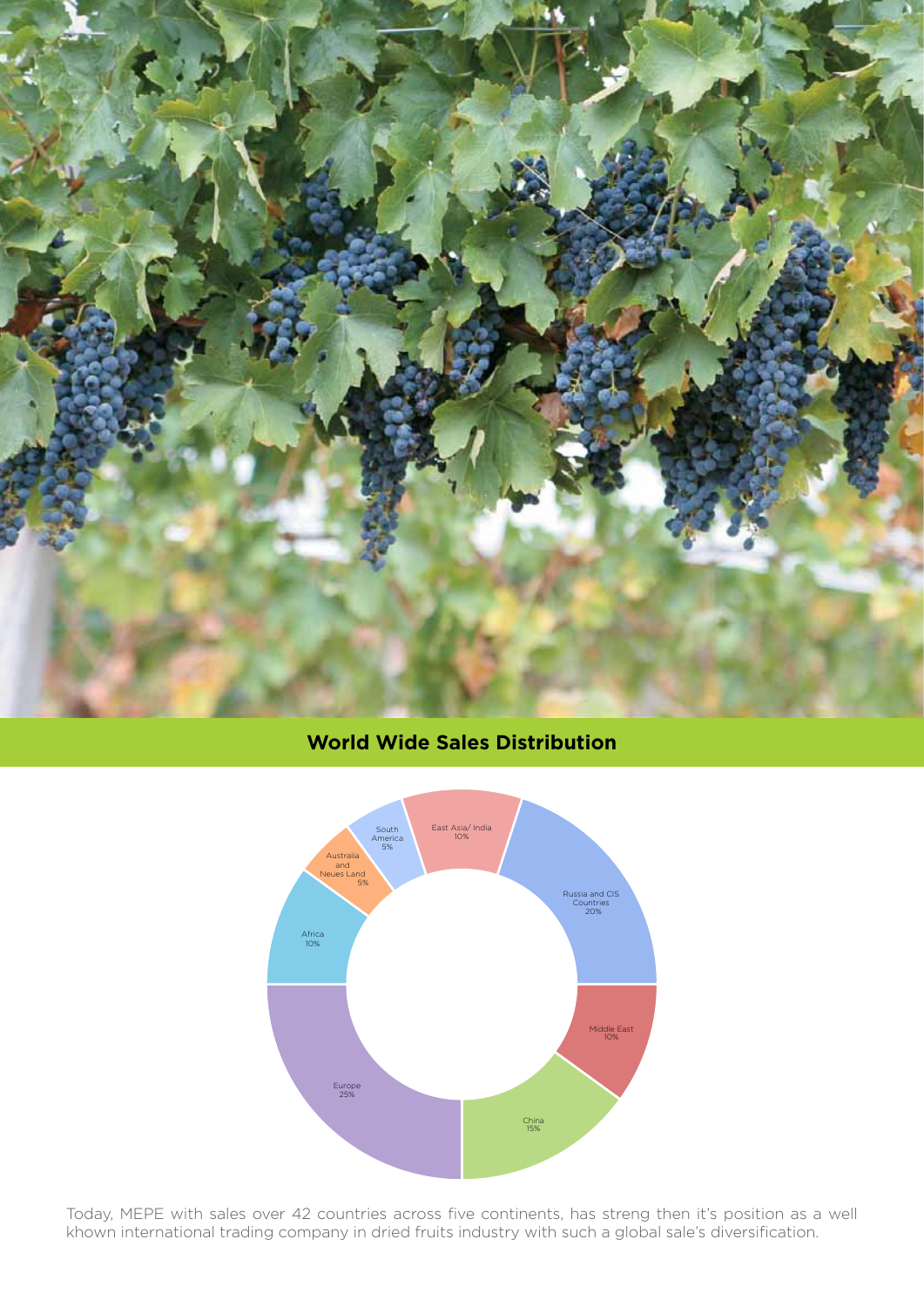

### **World Wide Sales Distribution**



Today, MEPE with sales over 42 countries across five continents, has streng then it's position as a well khown international trading company in dried fruits industry with such a global sale's diversification.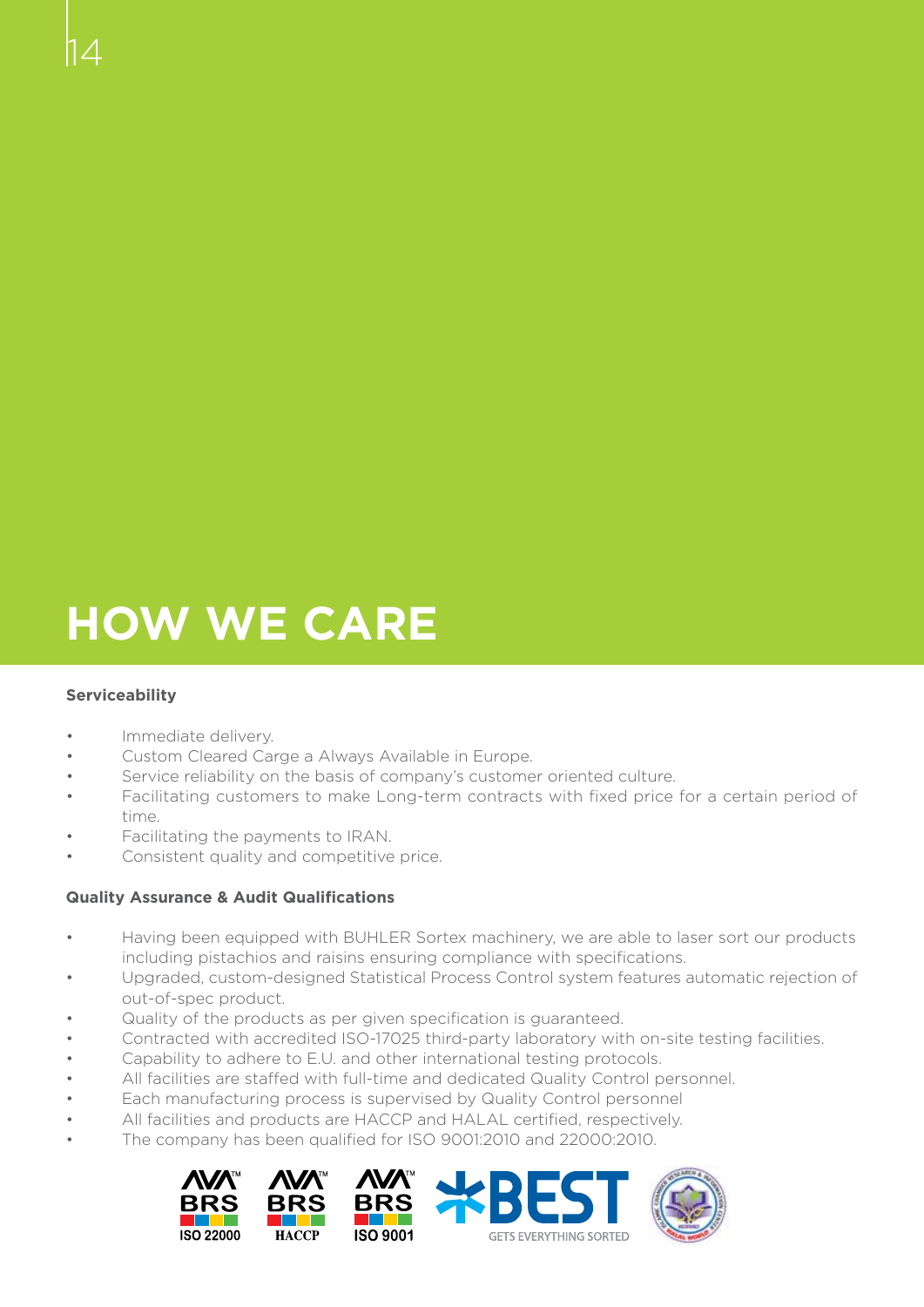# **HOW WE CARE**

### **Serviceability**

- Immediate delivery.
- • Custom Cleared Carge a Always Available in Europe.
- • Service reliability on the basis of company's customer oriented culture.
- Facilitating customers to make Long-term contracts with fixed price for a certain period of time.
- Facilitating the payments to IRAN.
- Consistent quality and competitive price.

### **Quality Assurance & Audit Qualifications**

- Having been equipped with BUHLER Sortex machinery, we are able to laser sort our products including pistachios and raisins ensuring compliance with specifications.
- • Upgraded, custom-designed Statistical Process Control system features automatic rejection of out-of-spec product.
- • Quality of the products as per given specification is guaranteed.
- Contracted with accredited ISO-17025 third-party laboratory with on-site testing facilities.
- Capability to adhere to E.U. and other international testing protocols.
- • All facilities are staffed with full-time and dedicated Quality Control personnel.
- Each manufacturing process is supervised by Quality Control personnel
- All facilities and products are HACCP and HALAL certified, respectively.
- The company has been qualified for ISO 9001:2010 and 22000:2010.

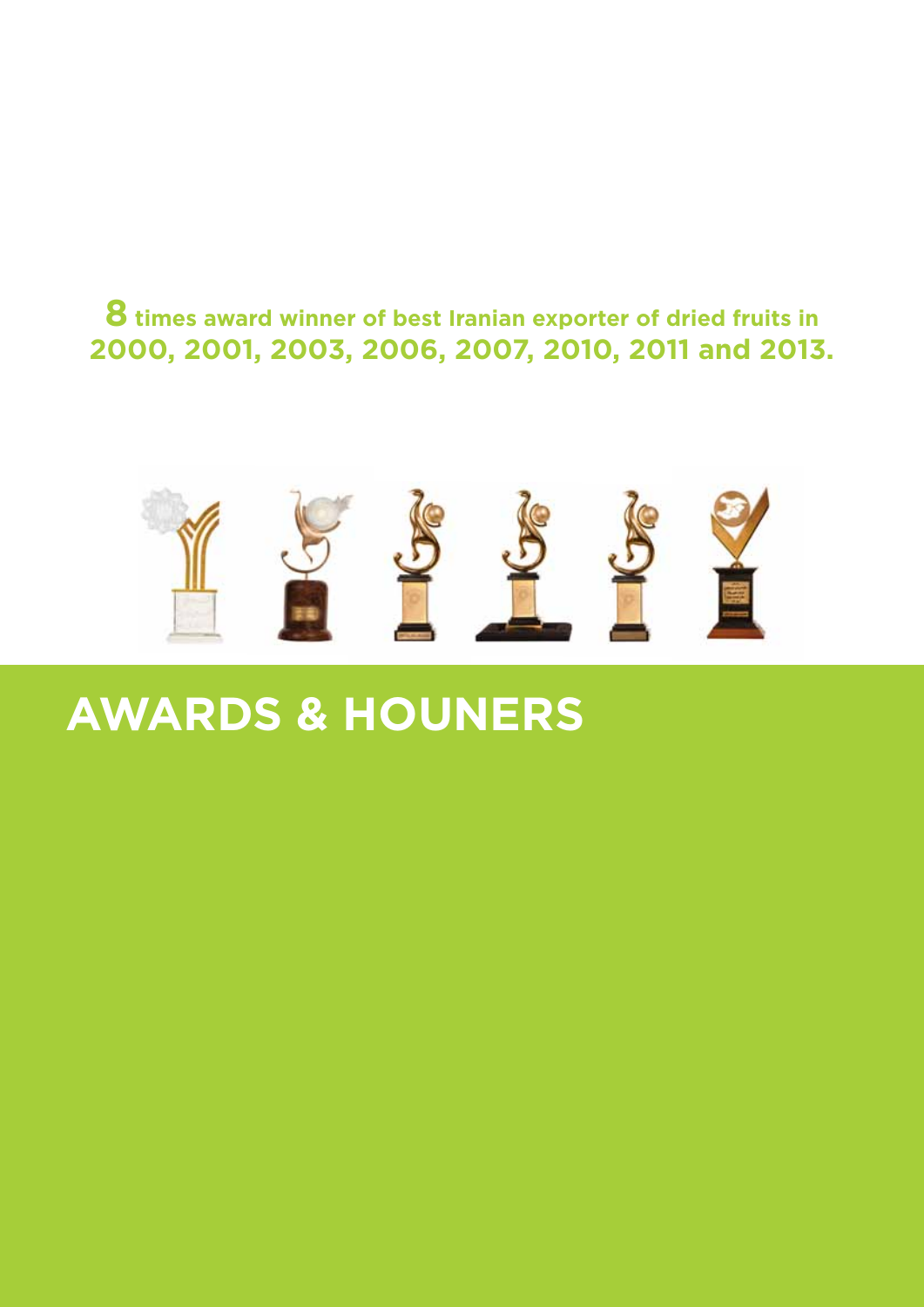**8 times award winner of best Iranian exporter of dried fruits in 2000, 2001, 2003, 2006, 2007, 2010, 2011 and 2013.**



# **AWARDS & HOUNERS**